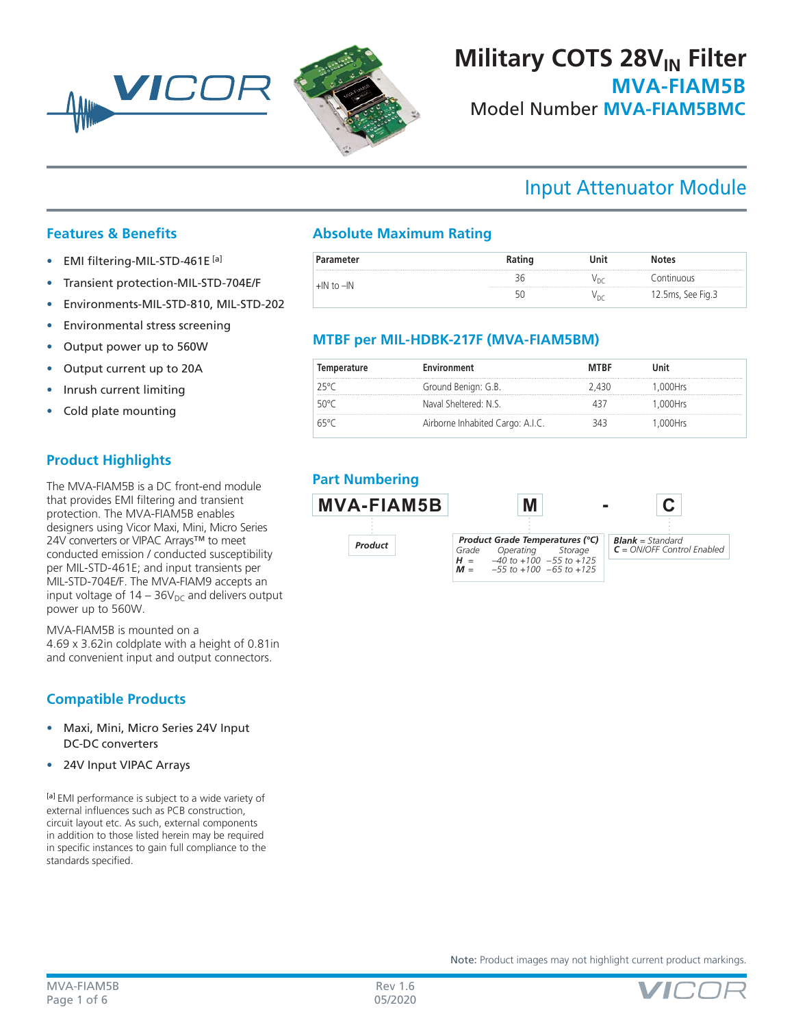

# **MVA-FIAM5B** Model Number **MVA-FIAM5BMC Military COTS 28V<sub>IN</sub> Filter**

# Input Attenuator Module

### **Features & Benefits**

• EMI filtering-MIL-STD-461E [a]

MAN VICO

- Transient protection-MIL-STD-704E/F
- Environments-MIL-STD-810, MIL-STD-202
- Environmental stress screening
- Output power up to 560W
- Output current up to 20A
- Inrush current limiting
- Cold plate mounting

## **Product Highlights**

The MVA-FIAM5B is a DC front-end module that provides EMI filtering and transient protection. The MVA-FIAM5B enables designers using Vicor Maxi, Mini, Micro Series 24V converters or VIPAC Arrays™ to meet conducted emission / conducted susceptibility per MIL-STD-461E; and input transients per MIL-STD-704E/F. The MVA-FIAM9 accepts an input voltage of  $14 - 36V_{DC}$  and delivers output power up to 560W.

MVA-FIAM5B is mounted on a 4.69 x 3.62in coldplate with a height of 0.81in and convenient input and output connectors.

## **Compatible Products**

- Maxi, Mini, Micro Series 24V Input DC-DC converters
- 24V Input VIPAC Arrays

[a] EMI performance is subject to a wide variety of external influences such as PCB construction, circuit layout etc. As such, external components in addition to those listed herein may be required in specific instances to gain full compliance to the standards specified.

## **Absolute Maximum Rating**

| ameter |  | τes                  |
|--------|--|----------------------|
|        |  |                      |
|        |  | ب , z. Jms, See Fig. |

### **MTBF per MIL-HDBK-217F (MVA-FIAM5BM)**

| Temperature  | Environment                      | <b>MTRF</b> | Jnit     |  |
|--------------|----------------------------------|-------------|----------|--|
| $75$ °C      | Ground Benign: G.B.              | 430         | .000Hrs  |  |
| 50°C         | Naval Sheltered: N.S.            |             | .000Hrs  |  |
| $h^{\omega}$ | Airborne Inhabited Cargo: A.I.C. |             | l.000Hrs |  |

## **Part Numbering**



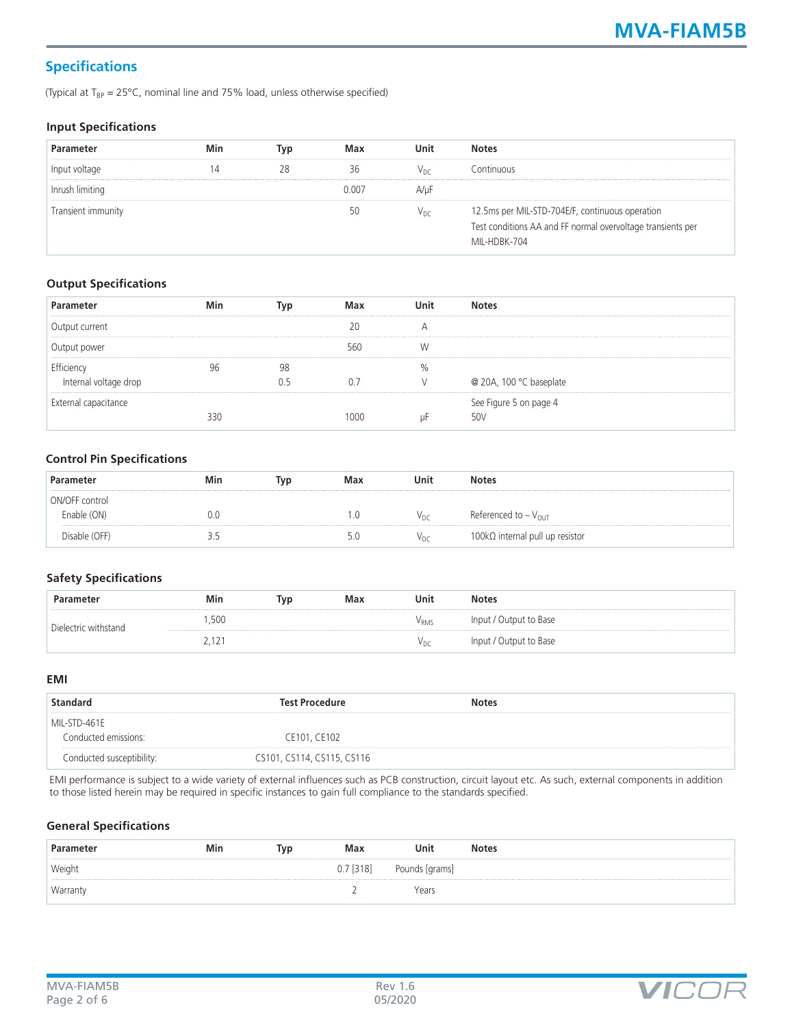## **Specifications**

(Typical at  $T_{BP} = 25^{\circ}$ C, nominal line and 75% load, unless otherwise specified)

#### **Input Specifications**

| Parameter          | Min | lvp | Max   | Jnit            | <b>Notes</b>                                                                                                                   |
|--------------------|-----|-----|-------|-----------------|--------------------------------------------------------------------------------------------------------------------------------|
| Input voltage      |     |     |       | Vnc             | Continuous                                                                                                                     |
| Inrush limiting    |     |     | 0.007 | A/uF            |                                                                                                                                |
| Transient immunity |     |     |       | V <sub>DC</sub> | 12.5ms per MIL-STD-704E/F, continuous operation<br>Test conditions AA and FF normal overvoltage transients per<br>MII-HDRK-704 |

#### **Output Specifications**

| Parameter             | Min |    | Max  | Unit | <b>Notes</b>            |
|-----------------------|-----|----|------|------|-------------------------|
| Output current        |     |    |      |      |                         |
| Output power          |     |    | 560  |      |                         |
| Efficiency            |     | 98 |      | %    |                         |
| Internal voltage drop |     |    |      |      | @ 20A, 100 °C baseplate |
| External capacitance  |     |    |      |      | See Figure 5 on page 4  |
|                       | 330 |    | 1000 |      | 50V                     |

#### **Control Pin Specifications**

| Parameter      | Min   | Tvp | Max | Unit            | <b>Notes</b>                    |
|----------------|-------|-----|-----|-----------------|---------------------------------|
| ON/OFF control |       |     |     |                 |                                 |
| Enable (ON)    | 0.0   |     |     | v <sub>DC</sub> | Referenced to $-V_{\text{OUT}}$ |
| Disable (OFF)  | ر . ر |     | 5.0 | Vnc             | 100kΩ internal pull up resistor |

#### **Safety Specifications**

| Parameter            | Min             | Тур | Max | Unit  | <b>Notes</b>           |
|----------------------|-----------------|-----|-----|-------|------------------------|
| Dielectric withstand | ,500            |     |     | ' RMS | Input / Output to Base |
|                      | L<br><u>. .</u> |     |     | ∨рс   | Input / Output to Base |

#### **EMI**

| Standard                  | <b>Test Procedure</b>      | <b>Notes</b> |  |
|---------------------------|----------------------------|--------------|--|
| MIL-STD-461E              |                            |              |  |
| Conducted emissions:      | CE101, CE102               |              |  |
| Conducted susceptibility: | CS101, CS114, CS115, CS116 |              |  |

EMI performance is subject to a wide variety of external influences such as PCB construction, circuit layout etc. As such, external components in addition to those listed herein may be required in specific instances to gain full compliance to the standards specified.

#### **General Specifications**

| Parameter | Min | Тур | Max         | Unit           | <b>Notes</b> |
|-----------|-----|-----|-------------|----------------|--------------|
| Weight    |     |     | $0.7$ [318] | Pounds [grams] |              |
| Warranty  |     |     |             | Years          |              |

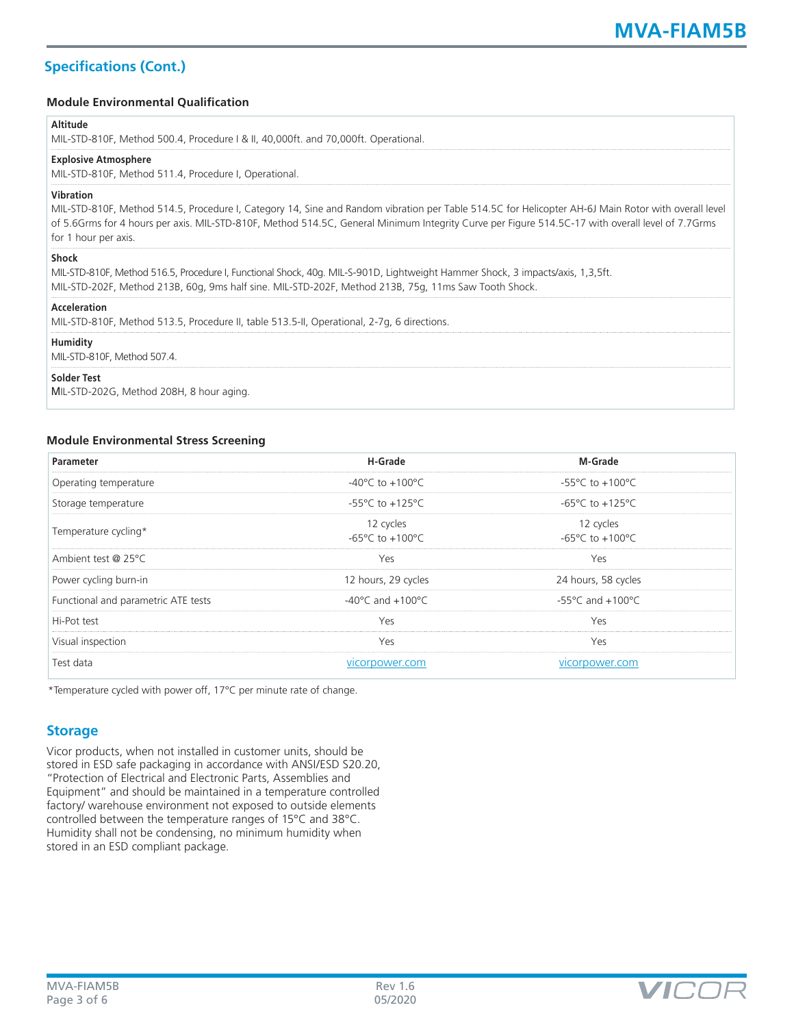## **Specifications (Cont.)**

#### **Module Environmental Qualification**

#### **Altitude**

| --------<br>MIL-STD-810F, Method 500.4, Procedure   & II, 40,000ft. and 70,000ft. Operational.                                                                                                                                                                                                                                                      |
|-----------------------------------------------------------------------------------------------------------------------------------------------------------------------------------------------------------------------------------------------------------------------------------------------------------------------------------------------------|
| <b>Explosive Atmosphere</b><br>MIL-STD-810F, Method 511.4, Procedure I, Operational.                                                                                                                                                                                                                                                                |
| <b>Vibration</b><br>MIL-STD-810F, Method 514.5, Procedure I, Category 14, Sine and Random vibration per Table 514.5C for Helicopter AH-6J Main Rotor with overall level<br>of 5.6Grms for 4 hours per axis. MIL-STD-810F, Method 514.5C, General Minimum Integrity Curve per Figure 514.5C-17 with overall level of 7.7Grms<br>for 1 hour per axis. |
| <b>Shock</b><br>MIL-STD-810F, Method 516.5, Procedure I, Functional Shock, 40g. MIL-S-901D, Lightweight Hammer Shock, 3 impacts/axis, 1,3,5ft.<br>MIL-STD-202F, Method 213B, 60g, 9ms half sine. MIL-STD-202F, Method 213B, 75g, 11ms Saw Tooth Shock.                                                                                              |
| Acceleration<br>MIL-STD-810F, Method 513.5, Procedure II, table 513.5-II, Operational, 2-7q, 6 directions.                                                                                                                                                                                                                                          |
| Humidity<br>MIL-STD-810F, Method 507.4.                                                                                                                                                                                                                                                                                                             |
| <b>Solder Test</b><br>MIL-STD-202G, Method 208H, 8 hour aging.                                                                                                                                                                                                                                                                                      |

#### **Module Environmental Stress Screening**

| Parameter                           | H-Grade                                          | M-Grade                                          |
|-------------------------------------|--------------------------------------------------|--------------------------------------------------|
| Operating temperature               | $-40^{\circ}$ C to $+100^{\circ}$ C              | $-55^{\circ}$ C to $+100^{\circ}$ C              |
| Storage temperature                 | $-55^{\circ}$ C to $+125^{\circ}$ C              | $-65^{\circ}$ C to $+125^{\circ}$ C              |
| Temperature cycling*                | 12 cycles<br>$-65^{\circ}$ C to $+100^{\circ}$ C | 12 cycles<br>$-65^{\circ}$ C to $+100^{\circ}$ C |
| Ambient test @ 25°C                 | Yes                                              | Yes                                              |
| Power cycling burn-in               | 12 hours, 29 cycles                              | 24 hours, 58 cycles                              |
| Functional and parametric ATE tests | $-40^{\circ}$ C and $+100^{\circ}$ C             | $-55^{\circ}$ C and $+100^{\circ}$ C             |
| Hi-Pot test                         | Yes                                              | Yes                                              |
| Visual inspection                   | Yes                                              | Yes                                              |
| Test data                           | vicorpower.com                                   | vicorpower.com                                   |

\*Temperature cycled with power off, 17°C per minute rate of change.

#### **Storage**

Vicor products, when not installed in customer units, should be stored in ESD safe packaging in accordance with ANSI/ESD S20.20, "Protection of Electrical and Electronic Parts, Assemblies and Equipment" and should be maintained in a temperature controlled factory/ warehouse environment not exposed to outside elements controlled between the temperature ranges of 15°C and 38°C. Humidity shall not be condensing, no minimum humidity when stored in an ESD compliant package.

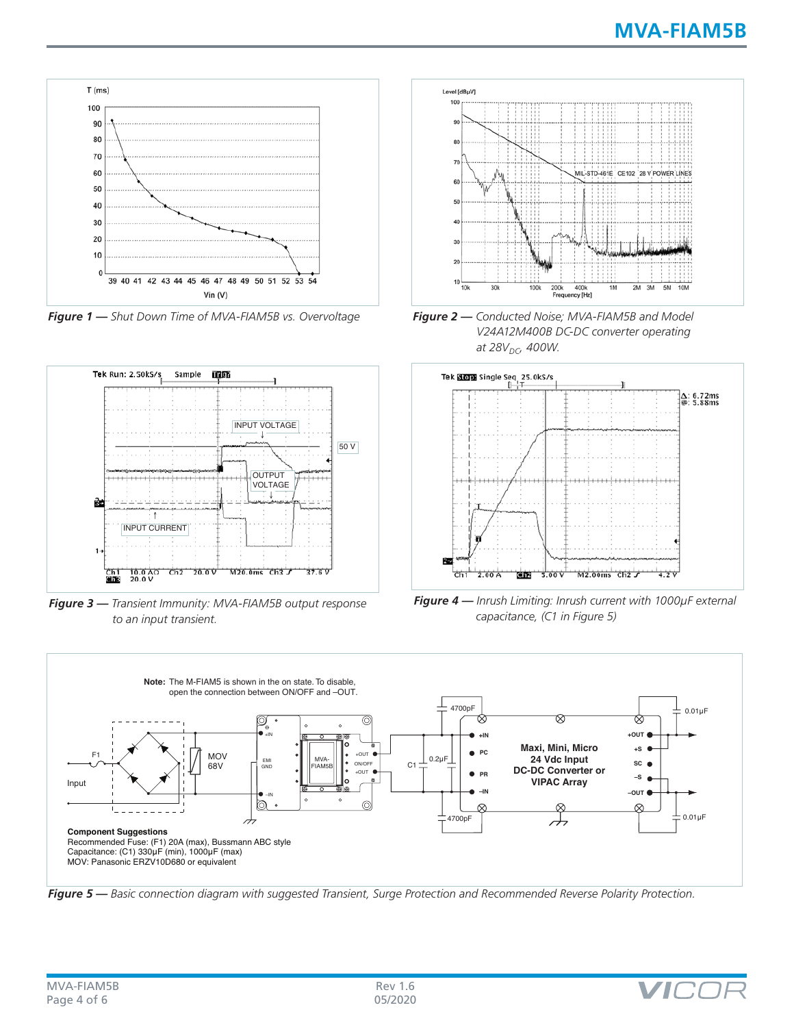

*Figure 1 — Shut Down Time of MVA-FIAM5B vs. Overvoltage*



*Figure 3 — Transient Immunity: MVA-FIAM5B output response to an input transient.*







*Figure 4 — Inrush Limiting: Inrush current with 1000µF external capacitance, (C1 in Figure 5)*



*Figure 5 — Basic connection diagram with suggested Transient, Surge Protection and Recommended Reverse Polarity Protection.*

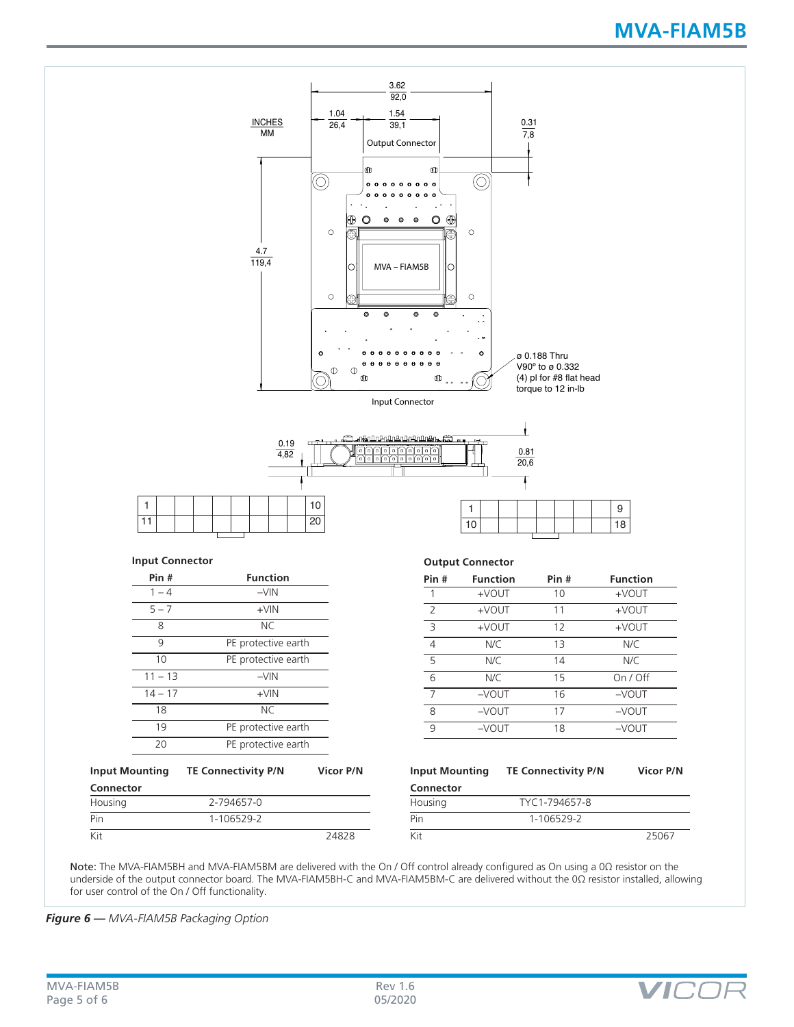# **MVA-FIAM5B**



| <b>Input Mounting</b> | <b>TE Connectivity P/N</b> | Vicor P/N |  |  |
|-----------------------|----------------------------|-----------|--|--|
| Connector             |                            |           |  |  |
| Housing               | 2-794657-0                 |           |  |  |
| Pin                   | 1-106529-2                 |           |  |  |
| Kit                   |                            | 24828     |  |  |

| Input Mounting | <b>TE Connectivity P/N</b> | Vicor P/N |
|----------------|----------------------------|-----------|
| Connector      |                            |           |
| Housing        | TYC1-794657-8              |           |
| Pin            | 1-106529-2                 |           |
| Kit            |                            | 25067     |

Note: The MVA-FIAM5BH and MVA-FIAM5BM are delivered with the On / Off control already configured as On using a 0Ω resistor on the underside of the output connector board. The MVA-FIAM5BH-C and MVA-FIAM5BM-C are delivered without the 0Ω resistor installed, allowing for user control of the On / Off functionality.

*Figure 6 — MVA-FIAM5B Packaging Option*